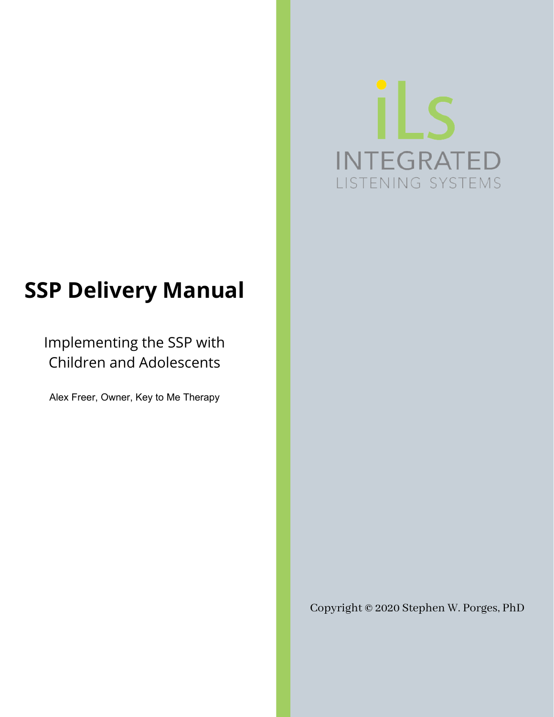# iLs **INTEGRATED** LISTENING SYSTEMS

# **SSP Delivery Manual**

Implementing the SSP with Children and Adolescents

Alex Freer, Owner, Key to Me Therapy

Copyright © 2020 Stephen W. Porges, PhD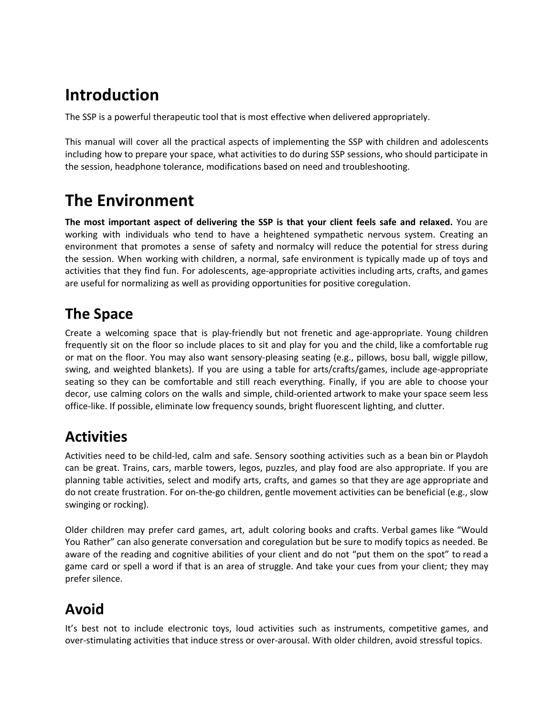# **Introduction**

The SSP is a powerful therapeutic tool that is most effective when delivered appropriately.

This manual will cover all the practical aspects of implementing the SSP with children and adolescents including how to prepare your space, what activities to do during SSP sessions, who should participate in the session, headphone tolerance, modifications based on need and troubleshooting.

# **The Environment**

**The most important aspect of delivering the SSP is that your client feels safe and relaxed.** You are working with individuals who tend to have a heightened sympathetic nervous system. Creating an environment that promotes a sense of safety and normalcy will reduce the potential for stress during the session. When working with children, a normal, safe environment is typically made up of toys and activities that they find fun. For adolescents, age-appropriate activities including arts, crafts, and games are useful for normalizing as well as providing opportunities for positive coregulation.

# **The Space**

Create a welcoming space that is play-friendly but not frenetic and age-appropriate. Young children frequently sit on the floor so include places to sit and play for you and the child, like a comfortable rug or mat on the floor. You may also want sensory-pleasing seating (e.g., pillows, bosu ball, wiggle pillow, swing, and weighted blankets). If you are using a table for arts/crafts/games, include age-appropriate seating so they can be comfortable and still reach everything. Finally, if you are able to choose your decor, use calming colors on the walls and simple, child-oriented artwork to make your space seem less office-like. If possible, eliminate low frequency sounds, bright fluorescent lighting, and clutter.

# **Activities**

Activities need to be child-led, calm and safe. Sensory soothing activities such as a bean bin or Playdoh can be great. Trains, cars, marble towers, legos, puzzles, and play food are also appropriate. If you are planning table activities, select and modify arts, crafts, and games so that they are age appropriate and do not create frustration. For on-the-go children, gentle movement activities can be beneficial (e.g., slow swinging or rocking).

Older children may prefer card games, art, adult coloring books and crafts. Verbal games like "Would You Rather" can also generate conversation and coregulation but be sure to modify topics as needed. Be aware of the reading and cognitive abilities of your client and do not "put them on the spot" to read a game card or spell a word if that is an area of struggle. And take your cues from your client; they may prefer silence.

# **Avoid**

It's best not to include electronic toys, loud activities such as instruments, competitive games, and over-stimulating activities that induce stress or over-arousal. With older children, avoid stressful topics.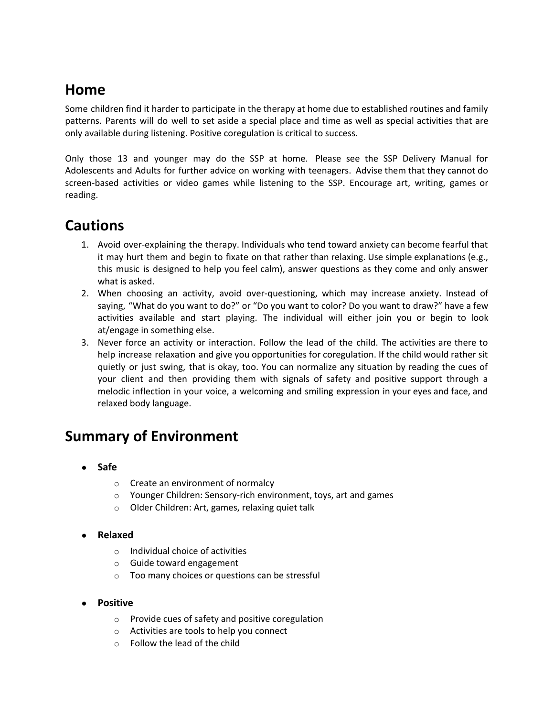# **Home**

Some children find it harder to participate in the therapy at home due to established routines and family patterns. Parents will do well to set aside a special place and time as well as special activities that are only available during listening. Positive coregulation is critical to success.

Only those 13 and younger may do the SSP at home. Please see the SSP Delivery Manual for Adolescents and Adults for further advice on working with teenagers. Advise them that they cannot do screen-based activities or video games while listening to the SSP. Encourage art, writing, games or reading.

#### **Cautions**

- 1. Avoid over-explaining the therapy. Individuals who tend toward anxiety can become fearful that it may hurt them and begin to fixate on that rather than relaxing. Use simple explanations (e.g., this music is designed to help you feel calm), answer questions as they come and only answer what is asked.
- 2. When choosing an activity, avoid over-questioning, which may increase anxiety. Instead of saying, "What do you want to do?" or "Do you want to color? Do you want to draw?" have a few activities available and start playing. The individual will either join you or begin to look at/engage in something else.
- 3. Never force an activity or interaction. Follow the lead of the child. The activities are there to help increase relaxation and give you opportunities for coregulation. If the child would rather sit quietly or just swing, that is okay, too. You can normalize any situation by reading the cues of your client and then providing them with signals of safety and positive support through a melodic inflection in your voice, a welcoming and smiling expression in your eyes and face, and relaxed body language.

# **Summary of Environment**

- **● Safe**
	- o Create an environment of normalcy
	- o Younger Children: Sensory-rich environment, toys, art and games
	- o Older Children: Art, games, relaxing quiet talk
- **● Relaxed**
	- o Individual choice of activities
	- o Guide toward engagement
	- o Too many choices or questions can be stressful
- **● Positive**
	- o Provide cues of safety and positive coregulation
	- o Activities are tools to help you connect
	- o Follow the lead of the child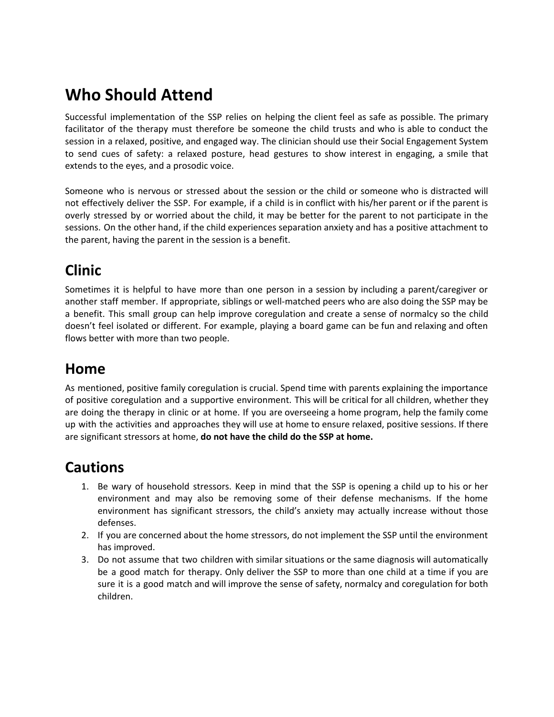# **Who Should Attend**

Successful implementation of the SSP relies on helping the client feel as safe as possible. The primary facilitator of the therapy must therefore be someone the child trusts and who is able to conduct the session in a relaxed, positive, and engaged way. The clinician should use their Social Engagement System to send cues of safety: a relaxed posture, head gestures to show interest in engaging, a smile that extends to the eyes, and a prosodic voice.

Someone who is nervous or stressed about the session or the child or someone who is distracted will not effectively deliver the SSP. For example, if a child is in conflict with his/her parent or if the parent is overly stressed by or worried about the child, it may be better for the parent to not participate in the sessions. On the other hand, if the child experiences separation anxiety and has a positive attachment to the parent, having the parent in the session is a benefit.

# **Clinic**

Sometimes it is helpful to have more than one person in a session by including a parent/caregiver or another staff member. If appropriate, siblings or well-matched peers who are also doing the SSP may be a benefit. This small group can help improve coregulation and create a sense of normalcy so the child doesn't feel isolated or different. For example, playing a board game can be fun and relaxing and often flows better with more than two people.

# **Home**

As mentioned, positive family coregulation is crucial. Spend time with parents explaining the importance of positive coregulation and a supportive environment. This will be critical for all children, whether they are doing the therapy in clinic or at home. If you are overseeing a home program, help the family come up with the activities and approaches they will use at home to ensure relaxed, positive sessions. If there are significant stressors at home, **do not have the child do the SSP at home.** 

# **Cautions**

- 1. Be wary of household stressors. Keep in mind that the SSP is opening a child up to his or her environment and may also be removing some of their defense mechanisms. If the home environment has significant stressors, the child's anxiety may actually increase without those defenses.
- 2. If you are concerned about the home stressors, do not implement the SSP until the environment has improved.
- 3. Do not assume that two children with similar situations or the same diagnosis will automatically be a good match for therapy. Only deliver the SSP to more than one child at a time if you are sure it is a good match and will improve the sense of safety, normalcy and coregulation for both children.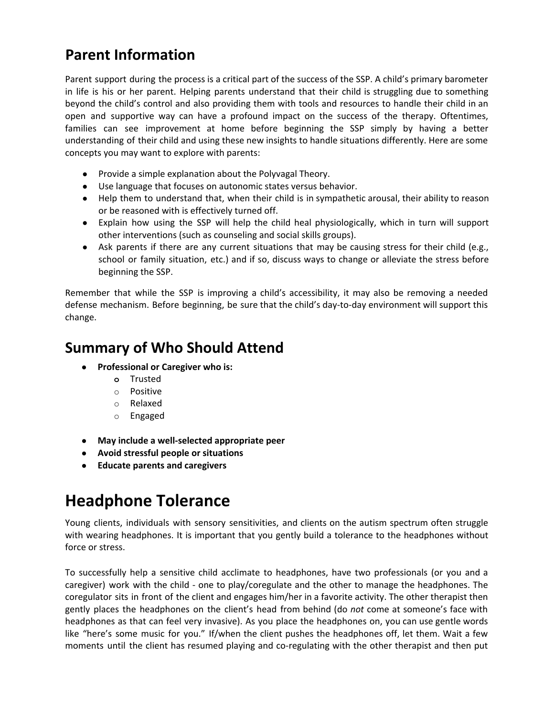# **Parent Information**

Parent support during the process is a critical part of the success of the SSP. A child's primary barometer in life is his or her parent. Helping parents understand that their child is struggling due to something beyond the child's control and also providing them with tools and resources to handle their child in an open and supportive way can have a profound impact on the success of the therapy. Oftentimes, families can see improvement at home before beginning the SSP simply by having a better understanding of their child and using these new insights to handle situations differently. Here are some concepts you may want to explore with parents:

- Provide a simple explanation about the Polyvagal Theory.
- Use language that focuses on autonomic states versus behavior.
- Help them to understand that, when their child is in sympathetic arousal, their ability to reason or be reasoned with is effectively turned off.
- Explain how using the SSP will help the child heal physiologically, which in turn will support other interventions (such as counseling and social skills groups).
- Ask parents if there are any current situations that may be causing stress for their child (e.g., school or family situation, etc.) and if so, discuss ways to change or alleviate the stress before beginning the SSP.

Remember that while the SSP is improving a child's accessibility, it may also be removing a needed defense mechanism. Before beginning, be sure that the child's day-to-day environment will support this change.

# **Summary of Who Should Attend**

- **● Professional or Caregiver who is:**
	- **o** Trusted
	- o Positive
	- o Relaxed
	- o Engaged
- **● May include a well-selected appropriate peer**
- **● Avoid stressful people or situations**
- **● Educate parents and caregivers**

# **Headphone Tolerance**

Young clients, individuals with sensory sensitivities, and clients on the autism spectrum often struggle with wearing headphones. It is important that you gently build a tolerance to the headphones without force or stress.

To successfully help a sensitive child acclimate to headphones, have two professionals (or you and a caregiver) work with the child - one to play/coregulate and the other to manage the headphones. The coregulator sits in front of the client and engages him/her in a favorite activity. The other therapist then gently places the headphones on the client's head from behind (do *not* come at someone's face with headphones as that can feel very invasive). As you place the headphones on, you can use gentle words like "here's some music for you." If/when the client pushes the headphones off, let them. Wait a few moments until the client has resumed playing and co-regulating with the other therapist and then put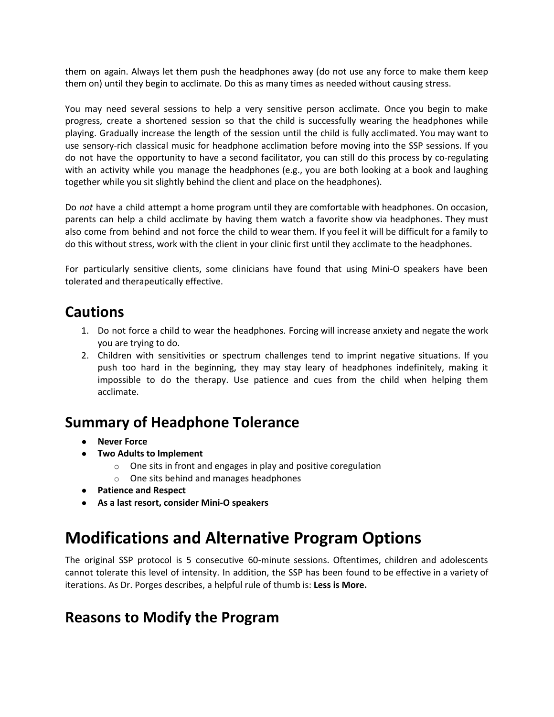them on again. Always let them push the headphones away (do not use any force to make them keep them on) until they begin to acclimate. Do this as many times as needed without causing stress.

You may need several sessions to help a very sensitive person acclimate. Once you begin to make progress, create a shortened session so that the child is successfully wearing the headphones while playing. Gradually increase the length of the session until the child is fully acclimated. You may want to use sensory-rich classical music for headphone acclimation before moving into the SSP sessions. If you do not have the opportunity to have a second facilitator, you can still do this process by co-regulating with an activity while you manage the headphones (e.g., you are both looking at a book and laughing together while you sit slightly behind the client and place on the headphones).

Do *not* have a child attempt a home program until they are comfortable with headphones. On occasion, parents can help a child acclimate by having them watch a favorite show via headphones. They must also come from behind and not force the child to wear them. If you feel it will be difficult for a family to do this without stress, work with the client in your clinic first until they acclimate to the headphones.

For particularly sensitive clients, some clinicians have found that using Mini-O speakers have been tolerated and therapeutically effective.

#### **Cautions**

- 1. Do not force a child to wear the headphones. Forcing will increase anxiety and negate the work you are trying to do.
- 2. Children with sensitivities or spectrum challenges tend to imprint negative situations. If you push too hard in the beginning, they may stay leary of headphones indefinitely, making it impossible to do the therapy. Use patience and cues from the child when helping them acclimate.

#### **Summary of Headphone Tolerance**

- **Never Force**
- **● Two Adults to Implement**
	- $\circ$  One sits in front and engages in play and positive coregulation
	- o One sits behind and manages headphones
- **● Patience and Respect**
- **● As a last resort, consider Mini-O speakers**

# **Modifications and Alternative Program Options**

The original SSP protocol is 5 consecutive 60-minute sessions. Oftentimes, children and adolescents cannot tolerate this level of intensity. In addition, the SSP has been found to be effective in a variety of iterations. As Dr. Porges describes, a helpful rule of thumb is: **Less is More.** 

#### **Reasons to Modify the Program**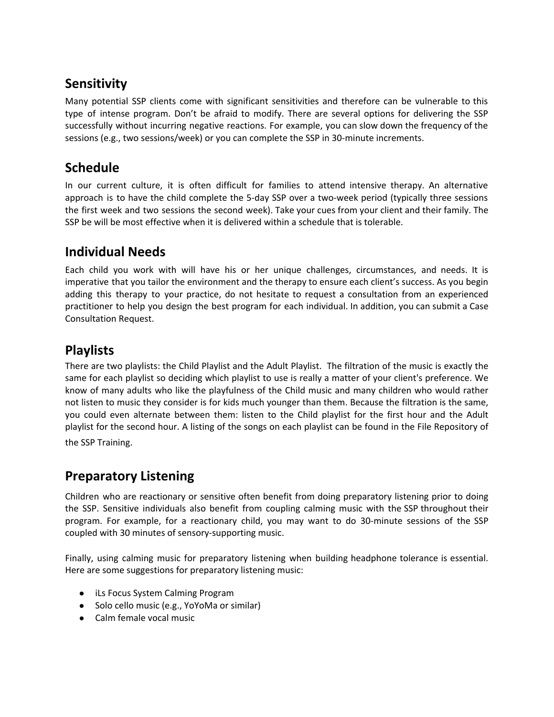#### **Sensitivity**

Many potential SSP clients come with significant sensitivities and therefore can be vulnerable to this type of intense program. Don't be afraid to modify. There are several options for delivering the SSP successfully without incurring negative reactions. For example, you can slow down the frequency of the sessions (e.g., two sessions/week) or you can complete the SSP in 30-minute increments.

#### **Schedule**

In our current culture, it is often difficult for families to attend intensive therapy. An alternative approach is to have the child complete the 5-day SSP over a two-week period (typically three sessions the first week and two sessions the second week). Take your cues from your client and their family. The SSP be will be most effective when it is delivered within a schedule that is tolerable.

#### **Individual Needs**

Each child you work with will have his or her unique challenges, circumstances, and needs. It is imperative that you tailor the environment and the therapy to ensure each client's success. As you begin adding this therapy to your practice, do not hesitate to request a consultation from an experienced practitioner to help you design the best program for each individual. In addition, you can submit a Case Consultation Request.

#### **Playlists**

There are two playlists: the Child Playlist and the Adult Playlist. The filtration of the music is exactly the same for each playlist so deciding which playlist to use is really a matter of your client's preference. We know of many adults who like the playfulness of the Child music and many children who would rather not listen to music they consider is for kids much younger than them. Because the filtration is the same, you could even alternate between them: listen to the Child playlist for the first hour and the Adult playlist for the second hour. A listing of the songs on each playlist can be found in the File Repository of the SSP Training.

#### **Preparatory Listening**

Children who are reactionary or sensitive often benefit from doing preparatory listening prior to doing the SSP. Sensitive individuals also benefit from coupling calming music with the SSP throughout their program. For example, for a reactionary child, you may want to do 30-minute sessions of the SSP coupled with 30 minutes of sensory-supporting music.

Finally, using calming music for preparatory listening when building headphone tolerance is essential. Here are some suggestions for preparatory listening music:

- iLs Focus System Calming Program
- Solo cello music (e.g., YoYoMa or similar)
- Calm female vocal music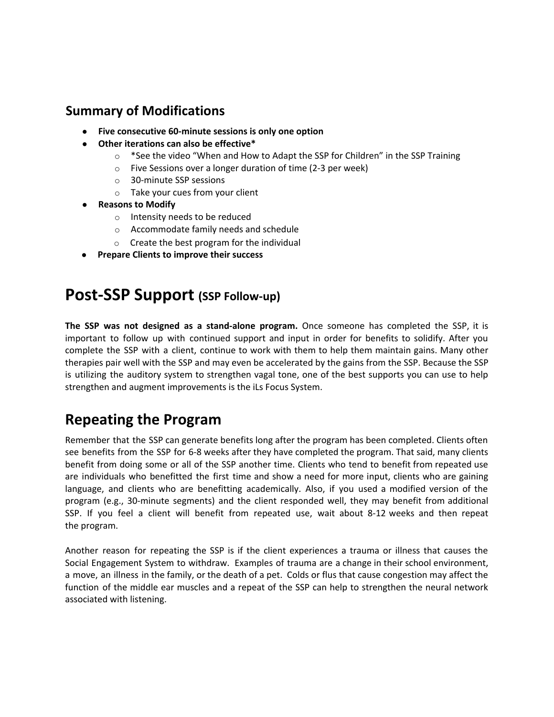#### **Summary of Modifications**

- **● Five consecutive 60-minute sessions is only one option**
- **● Other iterations can also be effective\***
	- $\circ$  \*See the video "When and How to Adapt the SSP for Children" in the SSP Training
	- o Five Sessions over a longer duration of time (2-3 per week)
	- o 30-minute SSP sessions
	- o Take your cues from your client
- **● Reasons to Modify**
	- o Intensity needs to be reduced
	- o Accommodate family needs and schedule
	- o Create the best program for the individual
- **● Prepare Clients to improve their success**

### **Post-SSP Support (SSP Follow-up)**

**The SSP was not designed as a stand-alone program.** Once someone has completed the SSP, it is important to follow up with continued support and input in order for benefits to solidify. After you complete the SSP with a client, continue to work with them to help them maintain gains. Many other therapies pair well with the SSP and may even be accelerated by the gains from the SSP. Because the SSP is utilizing the auditory system to strengthen vagal tone, one of the best supports you can use to help strengthen and augment improvements is the iLs Focus System.

# **Repeating the Program**

Remember that the SSP can generate benefits long after the program has been completed. Clients often see benefits from the SSP for 6-8 weeks after they have completed the program. That said, many clients benefit from doing some or all of the SSP another time. Clients who tend to benefit from repeated use are individuals who benefitted the first time and show a need for more input, clients who are gaining language, and clients who are benefitting academically. Also, if you used a modified version of the program (e.g., 30-minute segments) and the client responded well, they may benefit from additional SSP. If you feel a client will benefit from repeated use, wait about 8-12 weeks and then repeat the program.

Another reason for repeating the SSP is if the client experiences a trauma or illness that causes the Social Engagement System to withdraw. Examples of trauma are a change in their school environment, a move, an illness in the family, or the death of a pet. Colds or flus that cause congestion may affect the function of the middle ear muscles and a repeat of the SSP can help to strengthen the neural network associated with listening.